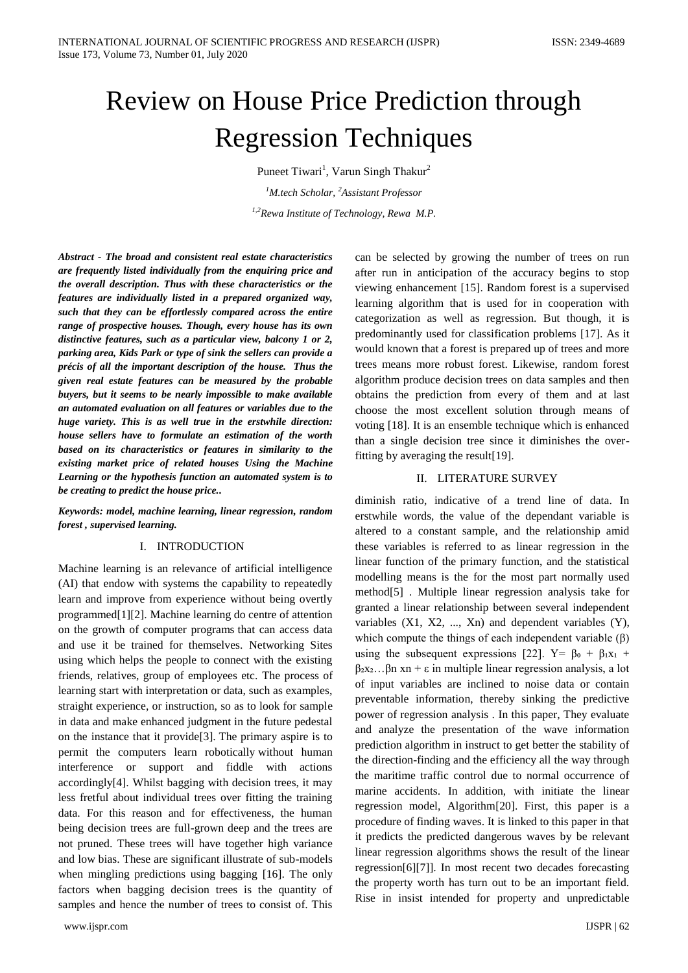# Review on House Price Prediction through Regression Techniques

Puneet Tiwari<sup>1</sup>, Varun Singh Thakur<sup>2</sup>

*<sup>1</sup>M.tech Scholar, <sup>2</sup>Assistant Professor 1,2Rewa Institute of Technology, Rewa M.P.*

*Abstract - The broad and consistent real estate characteristics are frequently listed individually from the enquiring price and the overall description. Thus with these characteristics or the features are individually listed in a prepared organized way, such that they can be effortlessly compared across the entire range of prospective houses. Though, every house has its own distinctive features, such as a particular view, balcony 1 or 2, parking area, Kids Park or type of sink the sellers can provide a précis of all the important description of the house. Thus the given real estate features can be measured by the probable buyers, but it seems to be nearly impossible to make available an automated evaluation on all features or variables due to the huge variety. This is as well true in the erstwhile direction: house sellers have to formulate an estimation of the worth based on its characteristics or features in similarity to the existing market price of related houses Using the Machine Learning or the hypothesis function an automated system is to be creating to predict the house price..*

*Keywords: model, machine learning, linear regression, random forest , supervised learning.*

#### I. INTRODUCTION

Machine learning is an relevance of artificial intelligence (AI) that endow with systems the capability to repeatedly learn and improve from experience without being overtly programmed[1][2]. Machine learning do centre of attention on the growth of computer programs that can access data and use it be trained for themselves. Networking Sites using which helps the people to connect with the existing friends, relatives, group of employees etc. The process of learning start with interpretation or data, such as examples, straight experience, or instruction, so as to look for sample in data and make enhanced judgment in the future pedestal on the instance that it provide[3]. The primary aspire is to permit the computers learn robotically without human interference or support and fiddle with actions accordingly[4]. Whilst bagging with decision trees, it may less fretful about individual trees over fitting the training data. For this reason and for effectiveness, the human being decision trees are full-grown deep and the trees are not pruned. These trees will have together high variance and low bias. These are significant illustrate of sub-models when mingling predictions using bagging [16]. The only factors when bagging decision trees is the quantity of samples and hence the number of trees to consist of. This

can be selected by growing the number of trees on run after run in anticipation of the accuracy begins to stop viewing enhancement [15]. Random forest is a supervised learning algorithm that is used for in cooperation with categorization as well as regression. But though, it is predominantly used for classification problems [17]. As it would known that a forest is prepared up of trees and more trees means more robust forest. Likewise, random forest algorithm produce decision trees on data samples and then obtains the prediction from every of them and at last choose the most excellent solution through means of voting [18]. It is an ensemble technique which is enhanced than a single decision tree since it diminishes the overfitting by averaging the result[19].

## II. LITERATURE SURVEY

diminish ratio, indicative of a trend line of data. In erstwhile words, the value of the dependant variable is altered to a constant sample, and the relationship amid these variables is referred to as linear regression in the linear function of the primary function, and the statistical modelling means is the for the most part normally used method[5] . Multiple linear regression analysis take for granted a linear relationship between several independent variables (X1, X2, ..., Xn) and dependent variables (Y), which compute the things of each independent variable  $(\beta)$ using the subsequent expressions [22].  $Y = \beta_0 + \beta_1 x_1 + \beta_2 x_2$  $β_2x_2...β_nx_n + ε$  in multiple linear regression analysis, a lot of input variables are inclined to noise data or contain preventable information, thereby sinking the predictive power of regression analysis . In this paper, They evaluate and analyze the presentation of the wave information prediction algorithm in instruct to get better the stability of the direction-finding and the efficiency all the way through the maritime traffic control due to normal occurrence of marine accidents. In addition, with initiate the linear regression model, Algorithm[20]. First, this paper is a procedure of finding waves. It is linked to this paper in that it predicts the predicted dangerous waves by be relevant linear regression algorithms shows the result of the linear regression[6][7]]. In most recent two decades forecasting the property worth has turn out to be an important field. Rise in insist intended for property and unpredictable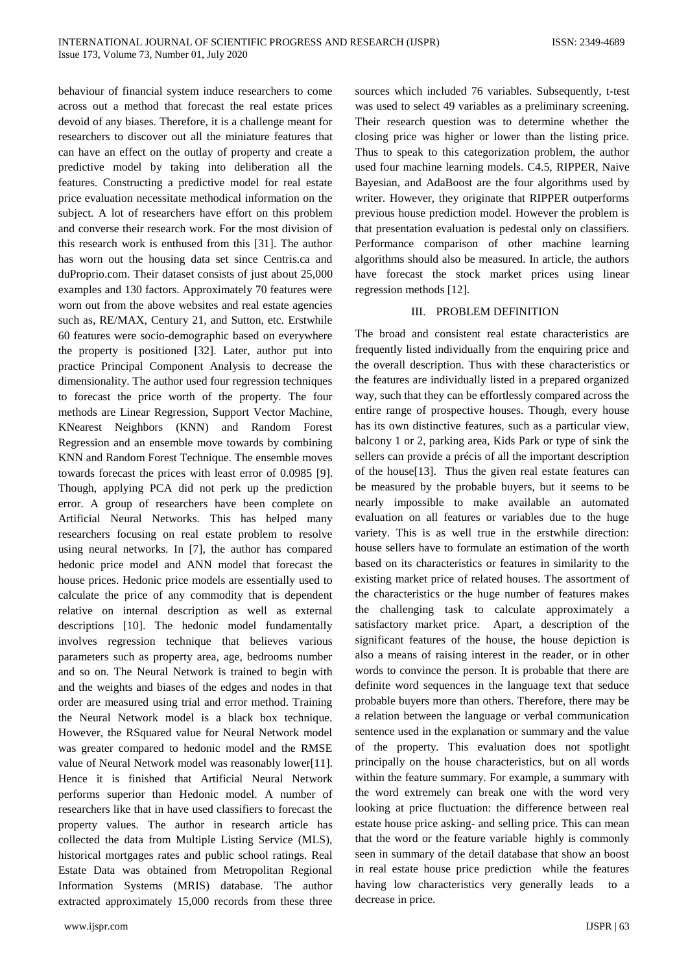behaviour of financial system induce researchers to come across out a method that forecast the real estate prices devoid of any biases. Therefore, it is a challenge meant for researchers to discover out all the miniature features that can have an effect on the outlay of property and create a predictive model by taking into deliberation all the features. Constructing a predictive model for real estate price evaluation necessitate methodical information on the subject. A lot of researchers have effort on this problem and converse their research work. For the most division of this research work is enthused from this [31]. The author has worn out the housing data set since Centris.ca and duProprio.com. Their dataset consists of just about 25,000 examples and 130 factors. Approximately 70 features were worn out from the above websites and real estate agencies such as, RE/MAX, Century 21, and Sutton, etc. Erstwhile 60 features were socio-demographic based on everywhere the property is positioned [32]. Later, author put into practice Principal Component Analysis to decrease the dimensionality. The author used four regression techniques to forecast the price worth of the property. The four methods are Linear Regression, Support Vector Machine, KNearest Neighbors (KNN) and Random Forest Regression and an ensemble move towards by combining KNN and Random Forest Technique. The ensemble moves towards forecast the prices with least error of 0.0985 [9]. Though, applying PCA did not perk up the prediction error. A group of researchers have been complete on Artificial Neural Networks. This has helped many researchers focusing on real estate problem to resolve using neural networks. In [7], the author has compared hedonic price model and ANN model that forecast the house prices. Hedonic price models are essentially used to calculate the price of any commodity that is dependent relative on internal description as well as external descriptions [10]. The hedonic model fundamentally involves regression technique that believes various parameters such as property area, age, bedrooms number and so on. The Neural Network is trained to begin with and the weights and biases of the edges and nodes in that order are measured using trial and error method. Training the Neural Network model is a black box technique. However, the RSquared value for Neural Network model was greater compared to hedonic model and the RMSE value of Neural Network model was reasonably lower[11]. Hence it is finished that Artificial Neural Network performs superior than Hedonic model. A number of researchers like that in have used classifiers to forecast the property values. The author in research article has collected the data from Multiple Listing Service (MLS), historical mortgages rates and public school ratings. Real Estate Data was obtained from Metropolitan Regional Information Systems (MRIS) database. The author extracted approximately 15,000 records from these three

sources which included 76 variables. Subsequently, t-test was used to select 49 variables as a preliminary screening. Their research question was to determine whether the closing price was higher or lower than the listing price. Thus to speak to this categorization problem, the author used four machine learning models. C4.5, RIPPER, Naive Bayesian, and AdaBoost are the four algorithms used by writer. However, they originate that RIPPER outperforms previous house prediction model. However the problem is that presentation evaluation is pedestal only on classifiers. Performance comparison of other machine learning algorithms should also be measured. In article, the authors have forecast the stock market prices using linear regression methods [12].

## III. PROBLEM DEFINITION

The broad and consistent real estate characteristics are frequently listed individually from the enquiring price and the overall description. Thus with these characteristics or the features are individually listed in a prepared organized way, such that they can be effortlessly compared across the entire range of prospective houses. Though, every house has its own distinctive features, such as a particular view, balcony 1 or 2, parking area, Kids Park or type of sink the sellers can provide a précis of all the important description of the house[13]. Thus the given real estate features can be measured by the probable buyers, but it seems to be nearly impossible to make available an automated evaluation on all features or variables due to the huge variety. This is as well true in the erstwhile direction: house sellers have to formulate an estimation of the worth based on its characteristics or features in similarity to the existing market price of related houses. The assortment of the characteristics or the huge number of features makes the challenging task to calculate approximately a satisfactory market price. Apart, a description of the significant features of the house, the house depiction is also a means of raising interest in the reader, or in other words to convince the person. It is probable that there are definite word sequences in the language text that seduce probable buyers more than others. Therefore, there may be a relation between the language or verbal communication sentence used in the explanation or summary and the value of the property. This evaluation does not spotlight principally on the house characteristics, but on all words within the feature summary. For example, a summary with the word extremely can break one with the word very looking at price fluctuation: the difference between real estate house price asking- and selling price. This can mean that the word or the feature variable highly is commonly seen in summary of the detail database that show an boost in real estate house price prediction while the features having low characteristics very generally leads to a decrease in price.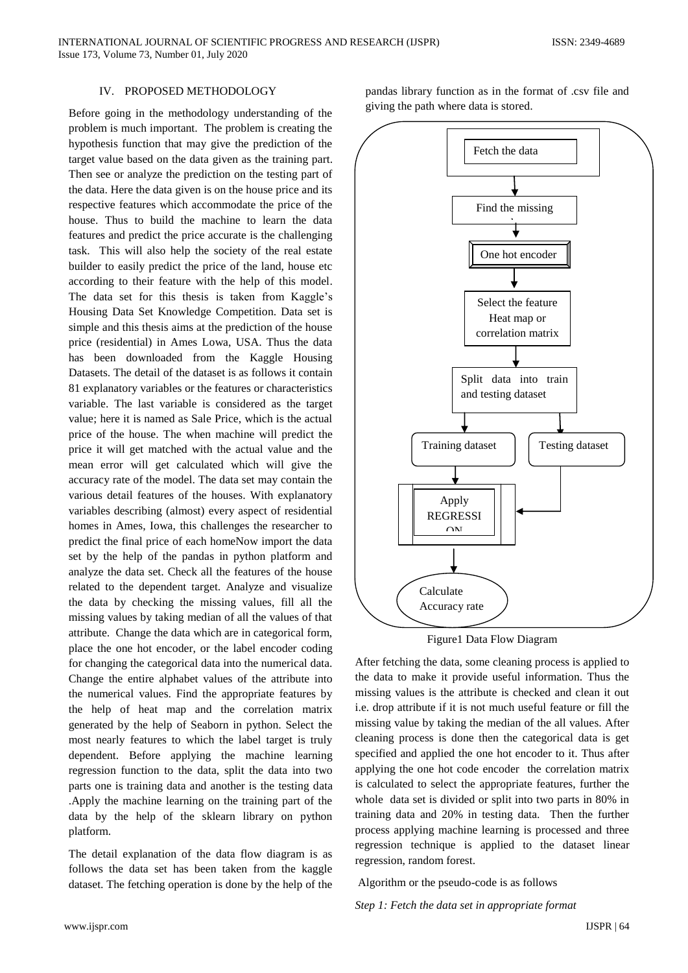### IV. PROPOSED METHODOLOGY

Before going in the methodology understanding of the problem is much important. The problem is creating the hypothesis function that may give the prediction of the target value based on the data given as the training part. Then see or analyze the prediction on the testing part of the data. Here the data given is on the house price and its respective features which accommodate the price of the house. Thus to build the machine to learn the data features and predict the price accurate is the challenging task. This will also help the society of the real estate builder to easily predict the price of the land, house etc according to their feature with the help of this model. The data set for this thesis is taken from Kaggle's Housing Data Set Knowledge Competition. Data set is simple and this thesis aims at the prediction of the house price (residential) in Ames Lowa, USA. Thus the data has been downloaded from the Kaggle Housing Datasets. The detail of the dataset is as follows it contain 81 explanatory variables or the features or characteristics variable. The last variable is considered as the target value; here it is named as Sale Price, which is the actual price of the house. The when machine will predict the price it will get matched with the actual value and the mean error will get calculated which will give the accuracy rate of the model. The data set may contain the various detail features of the houses. With explanatory variables describing (almost) every aspect of residential homes in Ames, Iowa, this challenges the researcher to predict the final price of each homeNow import the data set by the help of the pandas in python platform and analyze the data set. Check all the features of the house related to the dependent target. Analyze and visualize the data by checking the missing values, fill all the missing values by taking median of all the values of that attribute. Change the data which are in categorical form, place the one hot encoder, or the label encoder coding for changing the categorical data into the numerical data. Change the entire alphabet values of the attribute into the numerical values. Find the appropriate features by the help of heat map and the correlation matrix generated by the help of Seaborn in python. Select the most nearly features to which the label target is truly dependent. Before applying the machine learning regression function to the data, split the data into two parts one is training data and another is the testing data .Apply the machine learning on the training part of the data by the help of the sklearn library on python platform.

The detail explanation of the data flow diagram is as follows the data set has been taken from the kaggle dataset. The fetching operation is done by the help of the

pandas library function as in the format of .csv file and giving the path where data is stored.



Figure1 Data Flow Diagram

After fetching the data, some cleaning process is applied to the data to make it provide useful information. Thus the missing values is the attribute is checked and clean it out i.e. drop attribute if it is not much useful feature or fill the missing value by taking the median of the all values. After cleaning process is done then the categorical data is get specified and applied the one hot encoder to it. Thus after applying the one hot code encoder the correlation matrix is calculated to select the appropriate features, further the whole data set is divided or split into two parts in 80% in training data and 20% in testing data. Then the further process applying machine learning is processed and three regression technique is applied to the dataset linear regression, random forest.

Algorithm or the pseudo-code is as follows

*Step 1: Fetch the data set in appropriate format*